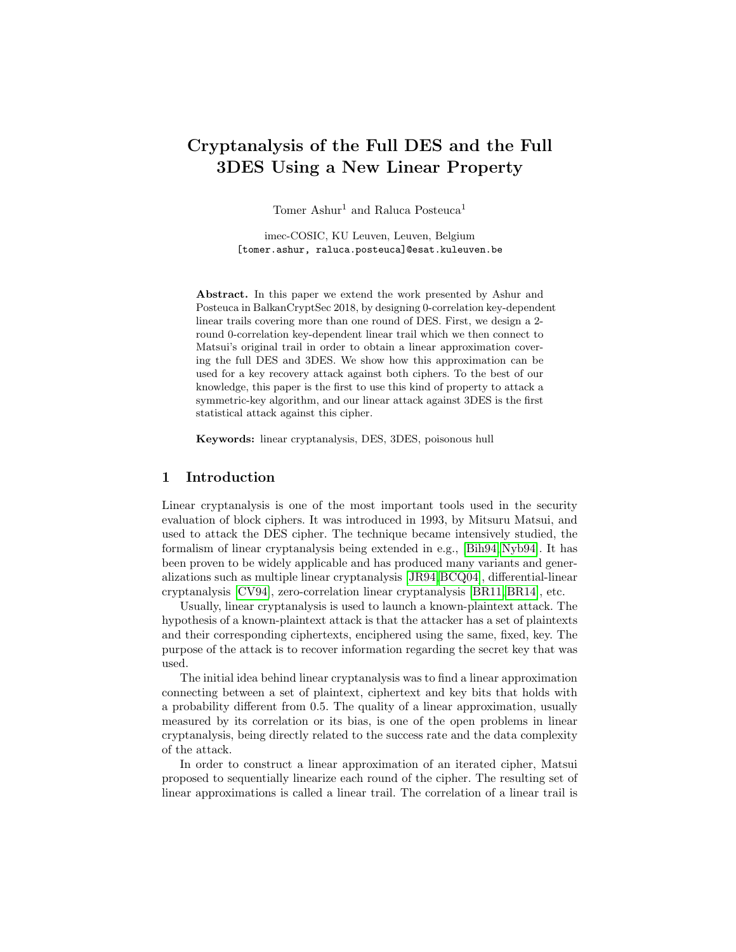# Cryptanalysis of the Full DES and the Full 3DES Using a New Linear Property

Tomer Ashur<sup>1</sup> and Raluca Posteuca<sup>1</sup>

imec-COSIC, KU Leuven, Leuven, Belgium [tomer.ashur, raluca.posteuca]@esat.kuleuven.be

Abstract. In this paper we extend the work presented by Ashur and Posteuca in BalkanCryptSec 2018, by designing 0-correlation key-dependent linear trails covering more than one round of DES. First, we design a 2 round 0-correlation key-dependent linear trail which we then connect to Matsui's original trail in order to obtain a linear approximation covering the full DES and 3DES. We show how this approximation can be used for a key recovery attack against both ciphers. To the best of our knowledge, this paper is the first to use this kind of property to attack a symmetric-key algorithm, and our linear attack against 3DES is the first statistical attack against this cipher.

Keywords: linear cryptanalysis, DES, 3DES, poisonous hull

# 1 Introduction

Linear cryptanalysis is one of the most important tools used in the security evaluation of block ciphers. It was introduced in 1993, by Mitsuru Matsui, and used to attack the DES cipher. The technique became intensively studied, the formalism of linear cryptanalysis being extended in e.g., [\[Bih94,](#page-14-0) [Nyb94\]](#page-15-0). It has been proven to be widely applicable and has produced many variants and generalizations such as multiple linear cryptanalysis [\[JR94,](#page-14-1)[BCQ04\]](#page-14-2), differential-linear cryptanalysis [\[CV94\]](#page-14-3), zero-correlation linear cryptanalysis [\[BR11,](#page-14-4) [BR14\]](#page-14-5), etc.

Usually, linear cryptanalysis is used to launch a known-plaintext attack. The hypothesis of a known-plaintext attack is that the attacker has a set of plaintexts and their corresponding ciphertexts, enciphered using the same, fixed, key. The purpose of the attack is to recover information regarding the secret key that was used.

The initial idea behind linear cryptanalysis was to find a linear approximation connecting between a set of plaintext, ciphertext and key bits that holds with a probability different from 0.5. The quality of a linear approximation, usually measured by its correlation or its bias, is one of the open problems in linear cryptanalysis, being directly related to the success rate and the data complexity of the attack.

In order to construct a linear approximation of an iterated cipher, Matsui proposed to sequentially linearize each round of the cipher. The resulting set of linear approximations is called a linear trail. The correlation of a linear trail is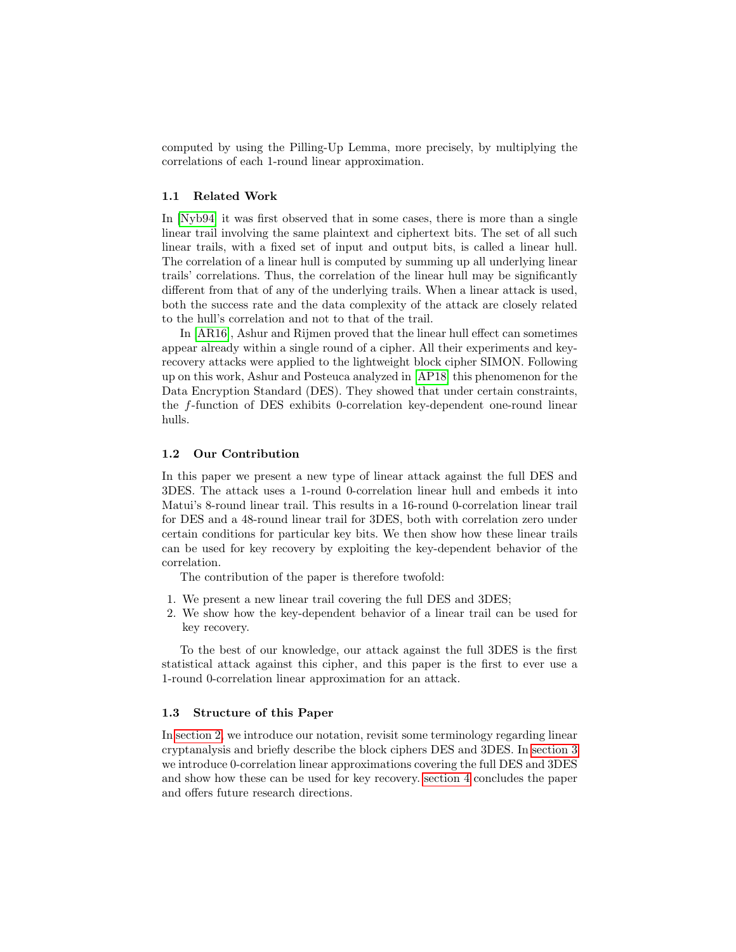computed by using the Pilling-Up Lemma, more precisely, by multiplying the correlations of each 1-round linear approximation.

# 1.1 Related Work

In [\[Nyb94\]](#page-15-0) it was first observed that in some cases, there is more than a single linear trail involving the same plaintext and ciphertext bits. The set of all such linear trails, with a fixed set of input and output bits, is called a linear hull. The correlation of a linear hull is computed by summing up all underlying linear trails' correlations. Thus, the correlation of the linear hull may be significantly different from that of any of the underlying trails. When a linear attack is used, both the success rate and the data complexity of the attack are closely related to the hull's correlation and not to that of the trail.

In [\[AR16\]](#page-14-6), Ashur and Rijmen proved that the linear hull effect can sometimes appear already within a single round of a cipher. All their experiments and keyrecovery attacks were applied to the lightweight block cipher SIMON. Following up on this work, Ashur and Posteuca analyzed in [\[AP18\]](#page-14-7) this phenomenon for the Data Encryption Standard (DES). They showed that under certain constraints, the f-function of DES exhibits 0-correlation key-dependent one-round linear hulls.

## 1.2 Our Contribution

In this paper we present a new type of linear attack against the full DES and 3DES. The attack uses a 1-round 0-correlation linear hull and embeds it into Matui's 8-round linear trail. This results in a 16-round 0-correlation linear trail for DES and a 48-round linear trail for 3DES, both with correlation zero under certain conditions for particular key bits. We then show how these linear trails can be used for key recovery by exploiting the key-dependent behavior of the correlation.

The contribution of the paper is therefore twofold:

- 1. We present a new linear trail covering the full DES and 3DES;
- 2. We show how the key-dependent behavior of a linear trail can be used for key recovery.

To the best of our knowledge, our attack against the full 3DES is the first statistical attack against this cipher, and this paper is the first to ever use a 1-round 0-correlation linear approximation for an attack.

### 1.3 Structure of this Paper

In [section 2,](#page-2-0) we introduce our notation, revisit some terminology regarding linear cryptanalysis and briefly describe the block ciphers DES and 3DES. In [section 3](#page-7-0) we introduce 0-correlation linear approximations covering the full DES and 3DES and show how these can be used for key recovery. [section 4](#page-13-0) concludes the paper and offers future research directions.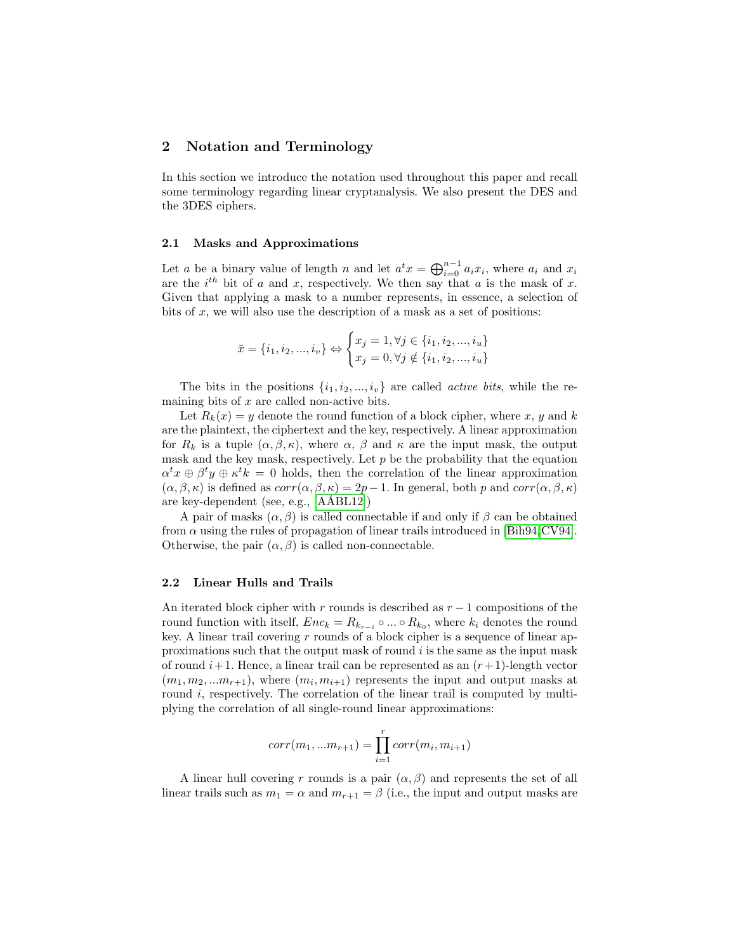# <span id="page-2-0"></span>2 Notation and Terminology

In this section we introduce the notation used throughout this paper and recall some terminology regarding linear cryptanalysis. We also present the DES and the 3DES ciphers.

### 2.1 Masks and Approximations

Let a be a binary value of length n and let  $a^t x = \bigoplus_{i=0}^{n-1} a_i x_i$ , where  $a_i$  and  $x_i$ are the  $i^{th}$  bit of a and x, respectively. We then say that a is the mask of x. Given that applying a mask to a number represents, in essence, a selection of bits of  $x$ , we will also use the description of a mask as a set of positions:

$$
\bar{x} = \{i_1, i_2, ..., i_v\} \Leftrightarrow \begin{cases} x_j = 1, \forall j \in \{i_1, i_2, ..., i_u\} \\ x_j = 0, \forall j \notin \{i_1, i_2, ..., i_u\} \end{cases}
$$

The bits in the positions  $\{i_1, i_2, ..., i_v\}$  are called *active bits*, while the remaining bits of  $x$  are called non-active bits.

Let  $R_k(x) = y$  denote the round function of a block cipher, where x, y and k are the plaintext, the ciphertext and the key, respectively. A linear approximation for  $R_k$  is a tuple  $(\alpha, \beta, \kappa)$ , where  $\alpha$ ,  $\beta$  and  $\kappa$  are the input mask, the output mask and the key mask, respectively. Let  $p$  be the probability that the equation  $\alpha^t x \oplus \beta^t y \oplus \kappa^t k = 0$  holds, then the correlation of the linear approximation  $(\alpha, \beta, \kappa)$  is defined as  $corr(\alpha, \beta, \kappa) = 2p - 1$ . In general, both p and  $corr(\alpha, \beta, \kappa)$ are key-dependent (see, e.g., [AÅBL12])

A pair of masks  $(\alpha, \beta)$  is called connectable if and only if  $\beta$  can be obtained from  $\alpha$  using the rules of propagation of linear trails introduced in [\[Bih94,](#page-14-0) [CV94\]](#page-14-3). Otherwise, the pair  $(\alpha, \beta)$  is called non-connectable.

### 2.2 Linear Hulls and Trails

An iterated block cipher with r rounds is described as  $r - 1$  compositions of the round function with itself,  $Enc_k = R_{k_{r-i}} \circ ... \circ R_{k_0}$ , where  $k_i$  denotes the round key. A linear trail covering  $r$  rounds of a block cipher is a sequence of linear approximations such that the output mask of round  $i$  is the same as the input mask of round  $i+1$ . Hence, a linear trail can be represented as an  $(r+1)$ -length vector  $(m_1, m_2, ... m_{r+1})$ , where  $(m_i, m_{i+1})$  represents the input and output masks at round *i*, respectively. The correlation of the linear trail is computed by multiplying the correlation of all single-round linear approximations:

$$
corr(m_1, ... m_{r+1}) = \prod_{i=1}^{r} corr(m_i, m_{i+1})
$$

A linear hull covering r rounds is a pair  $(\alpha, \beta)$  and represents the set of all linear trails such as  $m_1 = \alpha$  and  $m_{r+1} = \beta$  (i.e., the input and output masks are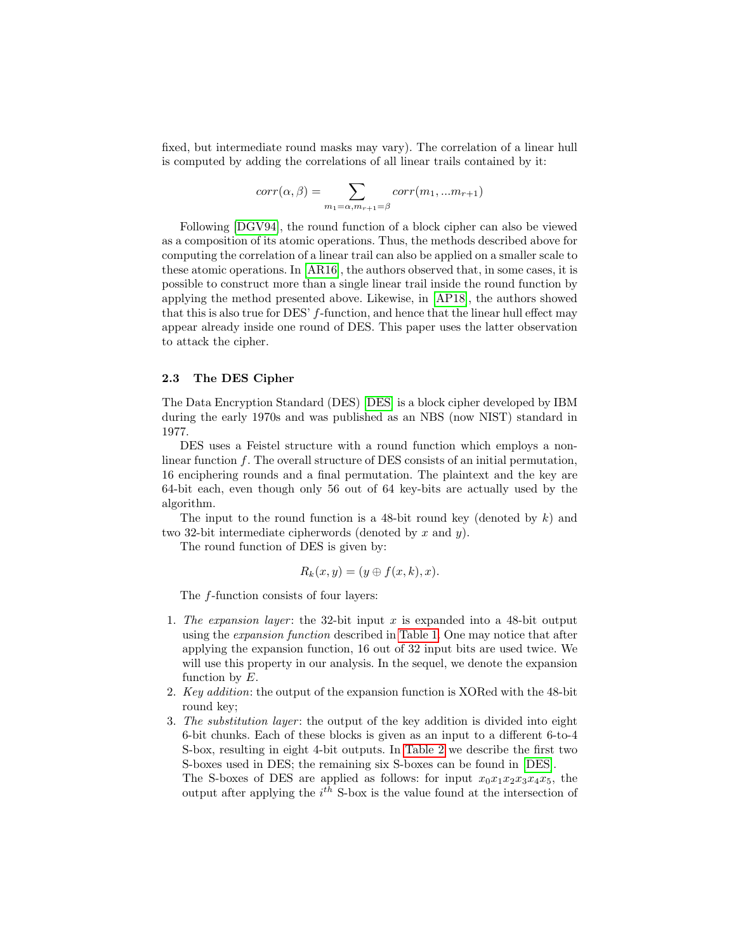fixed, but intermediate round masks may vary). The correlation of a linear hull is computed by adding the correlations of all linear trails contained by it:

$$
corr(\alpha, \beta) = \sum_{m_1 = \alpha, m_{r+1} = \beta} corr(m_1, ... m_{r+1})
$$

Following [\[DGV94\]](#page-14-9), the round function of a block cipher can also be viewed as a composition of its atomic operations. Thus, the methods described above for computing the correlation of a linear trail can also be applied on a smaller scale to these atomic operations. In [\[AR16\]](#page-14-6), the authors observed that, in some cases, it is possible to construct more than a single linear trail inside the round function by applying the method presented above. Likewise, in [\[AP18\]](#page-14-7), the authors showed that this is also true for DES' f-function, and hence that the linear hull effect may appear already inside one round of DES. This paper uses the latter observation to attack the cipher.

### 2.3 The DES Cipher

The Data Encryption Standard (DES) [\[DES\]](#page-14-10) is a block cipher developed by IBM during the early 1970s and was published as an NBS (now NIST) standard in 1977.

DES uses a Feistel structure with a round function which employs a nonlinear function f. The overall structure of DES consists of an initial permutation, 16 enciphering rounds and a final permutation. The plaintext and the key are 64-bit each, even though only 56 out of 64 key-bits are actually used by the algorithm.

The input to the round function is a 48-bit round key (denoted by  $k$ ) and two 32-bit intermediate cipherwords (denoted by x and y).

The round function of DES is given by:

$$
R_k(x, y) = (y \oplus f(x, k), x).
$$

The f-function consists of four layers:

- 1. The expansion layer: the 32-bit input x is expanded into a 48-bit output using the expansion function described in [Table 1.](#page-4-0) One may notice that after applying the expansion function, 16 out of 32 input bits are used twice. We will use this property in our analysis. In the sequel, we denote the expansion function by  $E$ .
- 2. Key addition: the output of the expansion function is XORed with the 48-bit round key;
- 3. The substitution layer: the output of the key addition is divided into eight 6-bit chunks. Each of these blocks is given as an input to a different 6-to-4 S-box, resulting in eight 4-bit outputs. In [Table 2](#page-4-1) we describe the first two S-boxes used in DES; the remaining six S-boxes can be found in [\[DES\]](#page-14-10).

The S-boxes of DES are applied as follows: for input  $x_0x_1x_2x_3x_4x_5$ , the output after applying the  $i^{th}$  S-box is the value found at the intersection of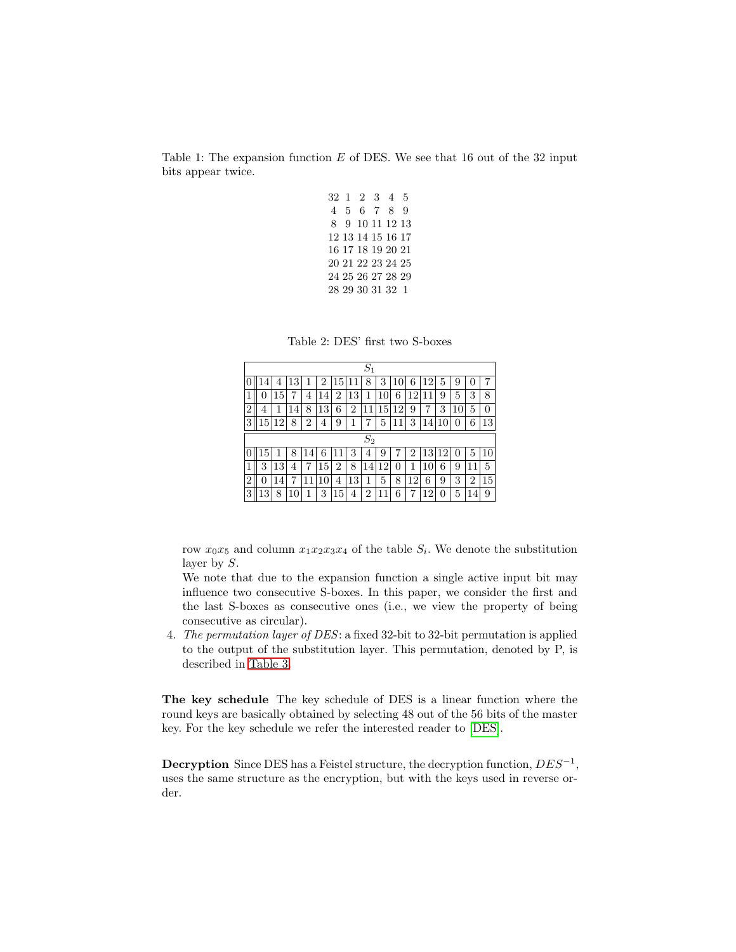<span id="page-4-0"></span>Table 1: The expansion function  $E$  of DES. We see that 16 out of the 32 input bits appear twice.

|  | 32 1 2 3 4 5      |  |  |
|--|-------------------|--|--|
|  | 4 5 6 7 8 9       |  |  |
|  | 8 9 10 11 12 13   |  |  |
|  | 12 13 14 15 16 17 |  |  |
|  | 16 17 18 19 20 21 |  |  |
|  | 20 21 22 23 24 25 |  |  |
|  | 24 25 26 27 28 29 |  |  |
|  | 28 29 30 31 32 1  |  |  |
|  |                   |  |  |

Table 2: DES' first two S-boxes

<span id="page-4-1"></span>

|   | $S_1$ |    |    |                |    |    |                |                |    |    |    |    |    |    |    |    |
|---|-------|----|----|----------------|----|----|----------------|----------------|----|----|----|----|----|----|----|----|
|   |       | 4  |    |                | 2  | 15 | $\mathbf{1}$ . | 8              | 3  | 10 | 6  | 12 | 5  | 9  | U  | 7  |
| 1 | 0     | 15 | 7  | 4              | 14 | 2  | 13             | 1              | 10 | 6  | 12 | 11 | 9  | 5  | 3  | 8  |
| 2 | 4     | 1  | 4  | 8              | 13 | 6  | $\overline{2}$ | 11             | 15 | 12 | 9  | 7  | 3  | 10 | 5  | 0  |
| 3 | 15    | 12 | 8  | $\overline{2}$ | 4  | 9  | 1              |                | 5  | 11 | 3  | 14 | 10 | 0  | 6  | 13 |
|   | $S_2$ |    |    |                |    |    |                |                |    |    |    |    |    |    |    |    |
|   | 15    |    | 8  | 14             | 6  | 11 | 3              | 4              | 9  |    | 2  | 13 | 12 | 0  | 5  | 10 |
| 1 | 3     | 13 | 4  | 7              | 15 | 2  | 8              | 14             | 12 | 0  | 1  | 10 | 6  | 9  | 11 | 5  |
| 2 | 0     | 14 |    | $\mathbf{1}$   | 10 | 4  | 13             | 1              | 5  | 8  | 12 | 6  | 9  | 3  | 2  | 15 |
| 3 | 13    | 8  | 10 |                | 3  | 15 | 4              | $\overline{2}$ | 1  | 6  | 7  | 12 | 0  | 5  | 14 | 9  |

row  $x_0x_5$  and column  $x_1x_2x_3x_4$  of the table  $S_i$ . We denote the substitution layer by S.

We note that due to the expansion function a single active input bit may influence two consecutive S-boxes. In this paper, we consider the first and the last S-boxes as consecutive ones (i.e., we view the property of being consecutive as circular).

4. The permutation layer of DES: a fixed 32-bit to 32-bit permutation is applied to the output of the substitution layer. This permutation, denoted by P, is described in [Table 3.](#page-5-0)

The key schedule The key schedule of DES is a linear function where the round keys are basically obtained by selecting 48 out of the 56 bits of the master key. For the key schedule we refer the interested reader to [\[DES\]](#page-14-10).

Decryption Since DES has a Feistel structure, the decryption function,  $DES^{-1}$ , uses the same structure as the encryption, but with the keys used in reverse order.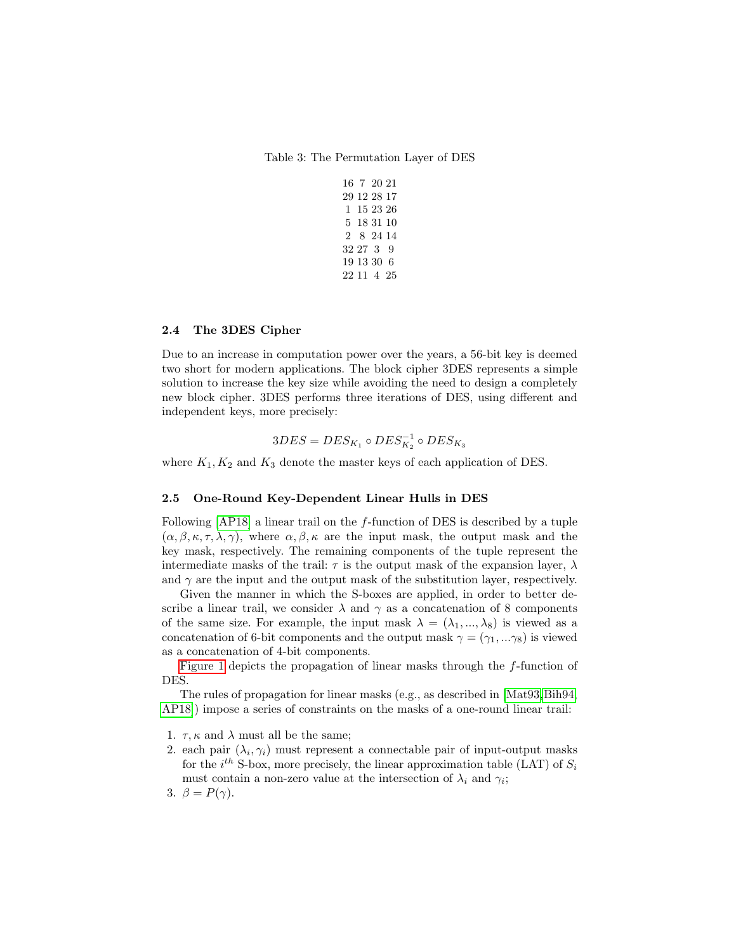<span id="page-5-0"></span>Table 3: The Permutation Layer of DES

|  | 16 7 20 21  |  |
|--|-------------|--|
|  | 29 12 28 17 |  |
|  | 1 15 23 26  |  |
|  | 5 18 31 10  |  |
|  | 2 8 24 14   |  |
|  | 32 27 3 9   |  |
|  | 19 13 30 6  |  |
|  | 22 11 4 25  |  |

# 2.4 The 3DES Cipher

Due to an increase in computation power over the years, a 56-bit key is deemed two short for modern applications. The block cipher 3DES represents a simple solution to increase the key size while avoiding the need to design a completely new block cipher. 3DES performs three iterations of DES, using different and independent keys, more precisely:

$$
3DES=DES_{K_1}\circ DES^{-1}_{K_2}\circ DES_{K_3}
$$

where  $K_1, K_2$  and  $K_3$  denote the master keys of each application of DES.

### 2.5 One-Round Key-Dependent Linear Hulls in DES

Following  $[AP18]$  a linear trail on the f-function of DES is described by a tuple  $(\alpha, \beta, \kappa, \tau, \lambda, \gamma)$ , where  $\alpha, \beta, \kappa$  are the input mask, the output mask and the key mask, respectively. The remaining components of the tuple represent the intermediate masks of the trail:  $\tau$  is the output mask of the expansion layer,  $\lambda$ and  $\gamma$  are the input and the output mask of the substitution layer, respectively.

Given the manner in which the S-boxes are applied, in order to better describe a linear trail, we consider  $\lambda$  and  $\gamma$  as a concatenation of 8 components of the same size. For example, the input mask  $\lambda = (\lambda_1, ..., \lambda_8)$  is viewed as a concatenation of 6-bit components and the output mask  $\gamma = (\gamma_1, \ldots \gamma_8)$  is viewed as a concatenation of 4-bit components.

[Figure 1](#page-6-0) depicts the propagation of linear masks through the f-function of DES.

The rules of propagation for linear masks (e.g., as described in [\[Mat93,](#page-14-11)[Bih94,](#page-14-0) [AP18\]](#page-14-7)) impose a series of constraints on the masks of a one-round linear trail:

- 1.  $\tau$ ,  $\kappa$  and  $\lambda$  must all be the same;
- 2. each pair  $(\lambda_i, \gamma_i)$  must represent a connectable pair of input-output masks for the  $i^{th}$  S-box, more precisely, the linear approximation table (LAT) of  $S_i$ must contain a non-zero value at the intersection of  $\lambda_i$  and  $\gamma_i$ ;
- 3.  $\beta = P(\gamma)$ .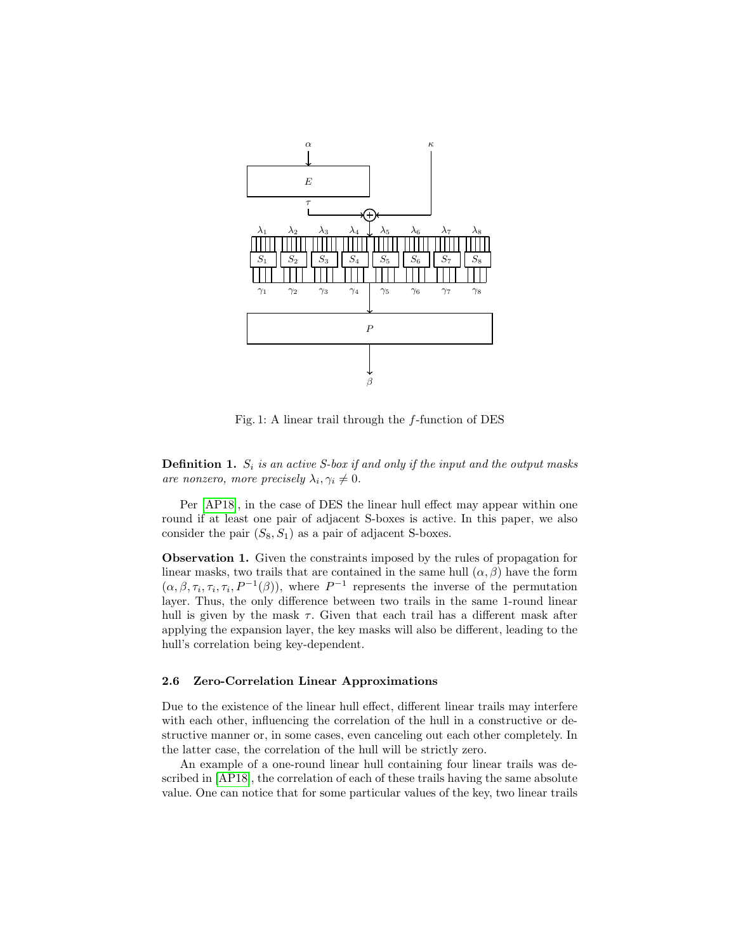<span id="page-6-0"></span>

Fig. 1: A linear trail through the  $f$ -function of DES

**Definition 1.**  $S_i$  is an active S-box if and only if the input and the output masks are nonzero, more precisely  $\lambda_i, \gamma_i \neq 0$ .

Per [\[AP18\]](#page-14-7), in the case of DES the linear hull effect may appear within one round if at least one pair of adjacent S-boxes is active. In this paper, we also consider the pair  $(S_8, S_1)$  as a pair of adjacent S-boxes.

Observation 1. Given the constraints imposed by the rules of propagation for linear masks, two trails that are contained in the same hull  $(\alpha, \beta)$  have the form  $(\alpha, \beta, \tau_i, \tau_i, \tau_i, P^{-1}(\beta))$ , where  $P^{-1}$  represents the inverse of the permutation layer. Thus, the only difference between two trails in the same 1-round linear hull is given by the mask  $\tau$ . Given that each trail has a different mask after applying the expansion layer, the key masks will also be different, leading to the hull's correlation being key-dependent.

## 2.6 Zero-Correlation Linear Approximations

Due to the existence of the linear hull effect, different linear trails may interfere with each other, influencing the correlation of the hull in a constructive or destructive manner or, in some cases, even canceling out each other completely. In the latter case, the correlation of the hull will be strictly zero.

An example of a one-round linear hull containing four linear trails was described in [\[AP18\]](#page-14-7), the correlation of each of these trails having the same absolute value. One can notice that for some particular values of the key, two linear trails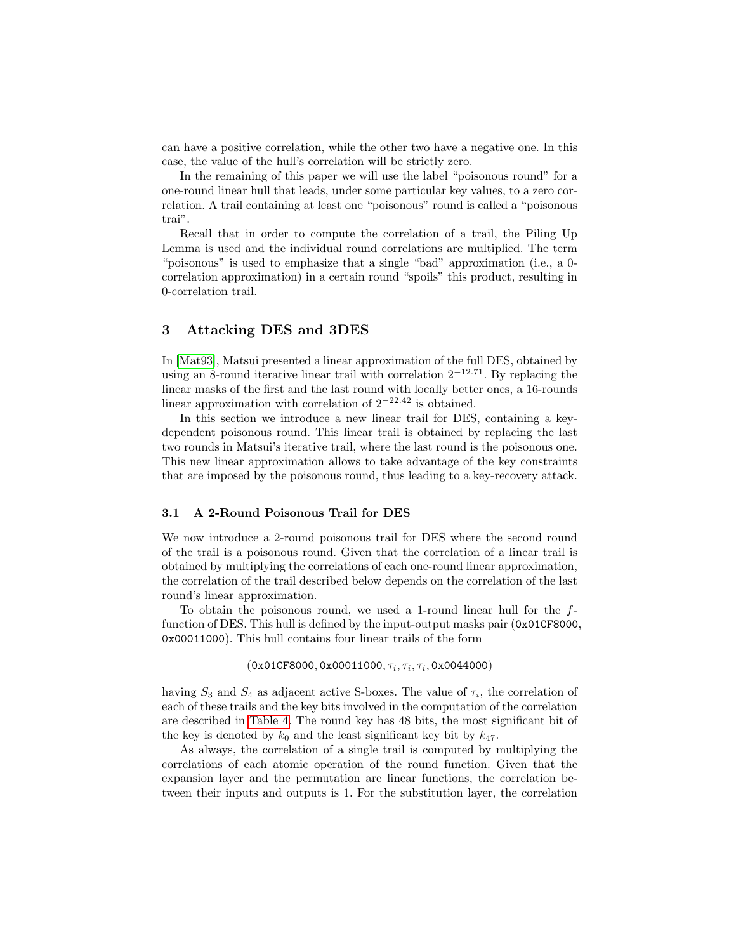can have a positive correlation, while the other two have a negative one. In this case, the value of the hull's correlation will be strictly zero.

In the remaining of this paper we will use the label "poisonous round" for a one-round linear hull that leads, under some particular key values, to a zero correlation. A trail containing at least one "poisonous" round is called a "poisonous trai".

Recall that in order to compute the correlation of a trail, the Piling Up Lemma is used and the individual round correlations are multiplied. The term "poisonous" is used to emphasize that a single "bad" approximation (i.e., a 0 correlation approximation) in a certain round "spoils" this product, resulting in 0-correlation trail.

# <span id="page-7-0"></span>3 Attacking DES and 3DES

In [\[Mat93\]](#page-14-11), Matsui presented a linear approximation of the full DES, obtained by using an 8-round iterative linear trail with correlation  $2^{-12.71}$ . By replacing the linear masks of the first and the last round with locally better ones, a 16-rounds linear approximation with correlation of 2<sup>−</sup>22.<sup>42</sup> is obtained.

In this section we introduce a new linear trail for DES, containing a keydependent poisonous round. This linear trail is obtained by replacing the last two rounds in Matsui's iterative trail, where the last round is the poisonous one. This new linear approximation allows to take advantage of the key constraints that are imposed by the poisonous round, thus leading to a key-recovery attack.

### <span id="page-7-1"></span>3.1 A 2-Round Poisonous Trail for DES

We now introduce a 2-round poisonous trail for DES where the second round of the trail is a poisonous round. Given that the correlation of a linear trail is obtained by multiplying the correlations of each one-round linear approximation, the correlation of the trail described below depends on the correlation of the last round's linear approximation.

To obtain the poisonous round, we used a 1-round linear hull for the ffunction of DES. This hull is defined by the input-output masks pair (0x01CF8000, 0x00011000). This hull contains four linear trails of the form

 $(0x01CF8000, 0x00011000, \tau_i, \tau_i, \tau_i, 0x0044000)$ 

having  $S_3$  and  $S_4$  as adjacent active S-boxes. The value of  $\tau_i$ , the correlation of each of these trails and the key bits involved in the computation of the correlation are described in [Table 4.](#page-8-0) The round key has 48 bits, the most significant bit of the key is denoted by  $k_0$  and the least significant key bit by  $k_{47}$ .

As always, the correlation of a single trail is computed by multiplying the correlations of each atomic operation of the round function. Given that the expansion layer and the permutation are linear functions, the correlation between their inputs and outputs is 1. For the substitution layer, the correlation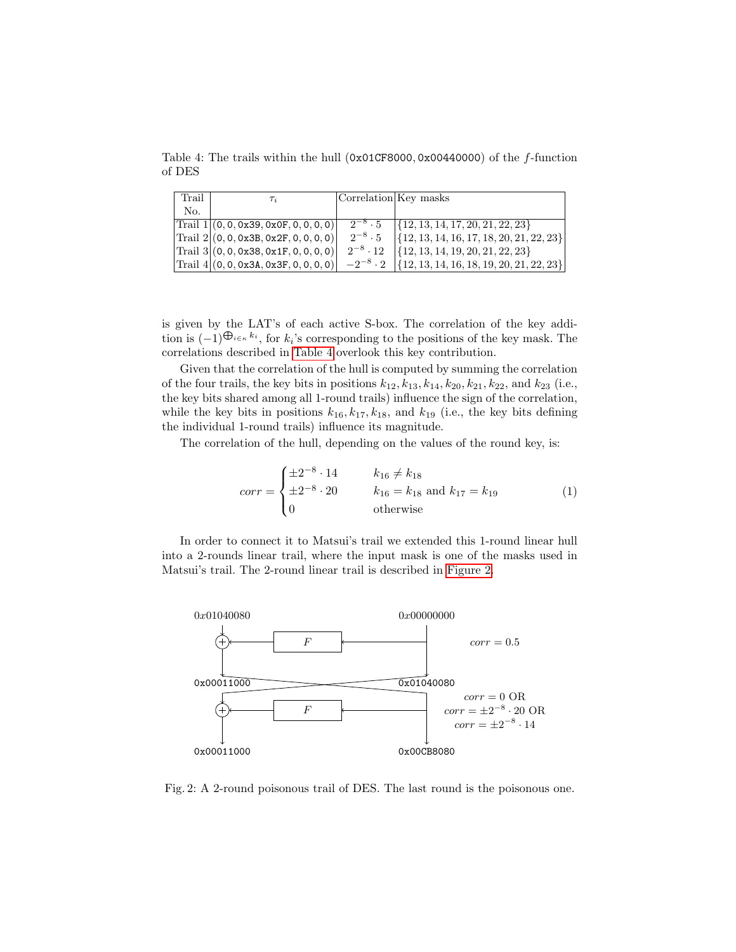<span id="page-8-0"></span>Table 4: The trails within the hull  $(0x01CF8000, 0x00440000)$  of the f-function of DES

| Trail | $\tau_i$                                             | Correlation Key masks |                                                               |
|-------|------------------------------------------------------|-----------------------|---------------------------------------------------------------|
| No.   |                                                      |                       |                                                               |
|       | $ Triall 1 (0, 0, 0x39, 0x0F, 0, 0, 0, 0) $          | $2^{-8} \cdot 5$      | $\{\{12, 13, 14, 17, 20, 21, 22, 23\}\$                       |
|       | $\text{Trail } 2   (0, 0, 0x3B, 0x2F, 0, 0, 0, 0)  $ | $2^{-8} \cdot 5$      | $\left[ \{ 12, 13, 14, 16, 17, 18, 20, 21, 22, 23 \} \right]$ |
|       | $\text{Trail } 3   (0, 0, 0x38, 0x1F, 0, 0, 0, 0)  $ | $2^{-8} \cdot 12$     | $\{12, 13, 14, 19, 20, 21, 22, 23\}$                          |
|       | $ Triil 4 (0, 0, 0x3A, 0x3F, 0, 0, 0, 0) $           | $-2^{-8} \cdot 2$     | $\left[ \{ 12, 13, 14, 16, 18, 19, 20, 21, 22, 23 \} \right]$ |

is given by the LAT's of each active S-box. The correlation of the key addition is  $(-1)^{\bigoplus_{i \in \kappa} k_i}$ , for  $k_i$ 's corresponding to the positions of the key mask. The correlations described in [Table 4](#page-8-0) overlook this key contribution.

Given that the correlation of the hull is computed by summing the correlation of the four trails, the key bits in positions  $k_{12}$ ,  $k_{13}$ ,  $k_{14}$ ,  $k_{20}$ ,  $k_{21}$ ,  $k_{22}$ , and  $k_{23}$  (i.e., the key bits shared among all 1-round trails) influence the sign of the correlation, while the key bits in positions  $k_{16}$ ,  $k_{17}$ ,  $k_{18}$ , and  $k_{19}$  (i.e., the key bits defining the individual 1-round trails) influence its magnitude.

The correlation of the hull, depending on the values of the round key, is:

$$
corr = \begin{cases} \pm 2^{-8} \cdot 14 & k_{16} \neq k_{18} \\ \pm 2^{-8} \cdot 20 & k_{16} = k_{18} \text{ and } k_{17} = k_{19} \\ 0 & \text{otherwise} \end{cases}
$$
 (1)

In order to connect it to Matsui's trail we extended this 1-round linear hull into a 2-rounds linear trail, where the input mask is one of the masks used in Matsui's trail. The 2-round linear trail is described in [Figure 2.](#page-8-1)

<span id="page-8-1"></span>

Fig. 2: A 2-round poisonous trail of DES. The last round is the poisonous one.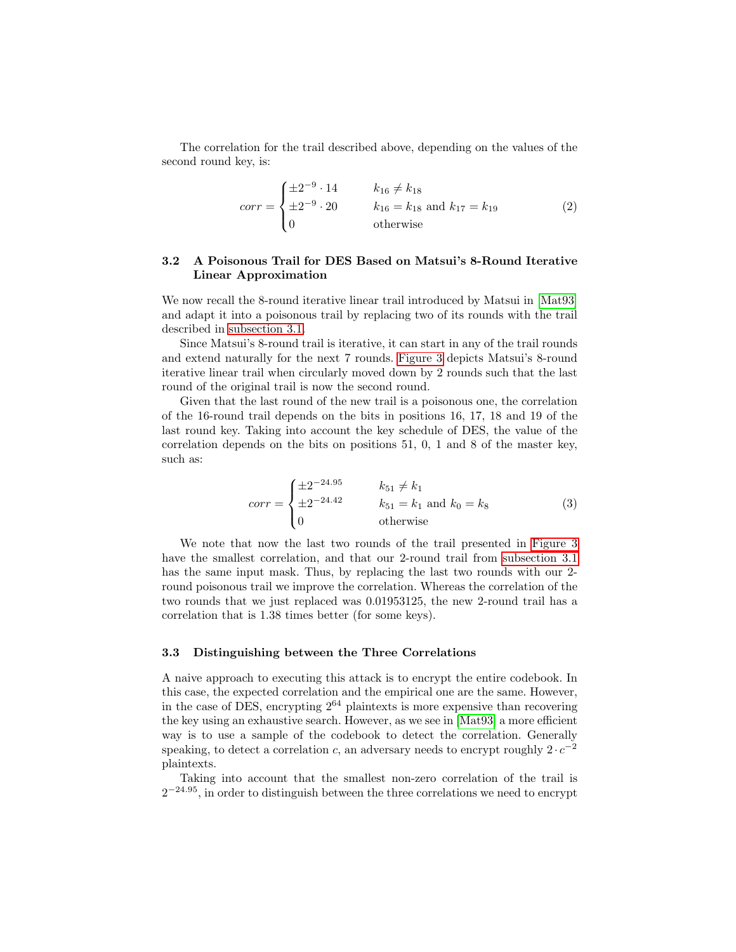The correlation for the trail described above, depending on the values of the second round key, is:

$$
corr = \begin{cases} \pm 2^{-9} \cdot 14 & k_{16} \neq k_{18} \\ \pm 2^{-9} \cdot 20 & k_{16} = k_{18} \text{ and } k_{17} = k_{19} \\ 0 & \text{otherwise} \end{cases}
$$
 (2)

# <span id="page-9-0"></span>3.2 A Poisonous Trail for DES Based on Matsui's 8-Round Iterative Linear Approximation

We now recall the 8-round iterative linear trail introduced by Matsui in  $[Mat93]$ and adapt it into a poisonous trail by replacing two of its rounds with the trail described in [subsection 3.1.](#page-7-1)

Since Matsui's 8-round trail is iterative, it can start in any of the trail rounds and extend naturally for the next 7 rounds. [Figure 3](#page-10-0) depicts Matsui's 8-round iterative linear trail when circularly moved down by 2 rounds such that the last round of the original trail is now the second round.

Given that the last round of the new trail is a poisonous one, the correlation of the 16-round trail depends on the bits in positions 16, 17, 18 and 19 of the last round key. Taking into account the key schedule of DES, the value of the correlation depends on the bits on positions 51, 0, 1 and 8 of the master key, such as:

$$
corr = \begin{cases} \pm 2^{-24.95} & k_{51} \neq k_1 \\ \pm 2^{-24.42} & k_{51} = k_1 \text{ and } k_0 = k_8 \\ 0 & \text{otherwise} \end{cases}
$$
 (3)

We note that now the last two rounds of the trail presented in [Figure 3](#page-10-0) have the smallest correlation, and that our 2-round trail from [subsection 3.1](#page-7-1) has the same input mask. Thus, by replacing the last two rounds with our 2 round poisonous trail we improve the correlation. Whereas the correlation of the two rounds that we just replaced was 0.01953125, the new 2-round trail has a correlation that is 1.38 times better (for some keys).

### 3.3 Distinguishing between the Three Correlations

A naive approach to executing this attack is to encrypt the entire codebook. In this case, the expected correlation and the empirical one are the same. However, in the case of DES, encrypting  $2^{64}$  plaintexts is more expensive than recovering the key using an exhaustive search. However, as we see in [\[Mat93\]](#page-14-11) a more efficient way is to use a sample of the codebook to detect the correlation. Generally speaking, to detect a correlation c, an adversary needs to encrypt roughly  $2 \cdot c^{-2}$ plaintexts.

Taking into account that the smallest non-zero correlation of the trail is  $2^{-24.95}$ , in order to distinguish between the three correlations we need to encrypt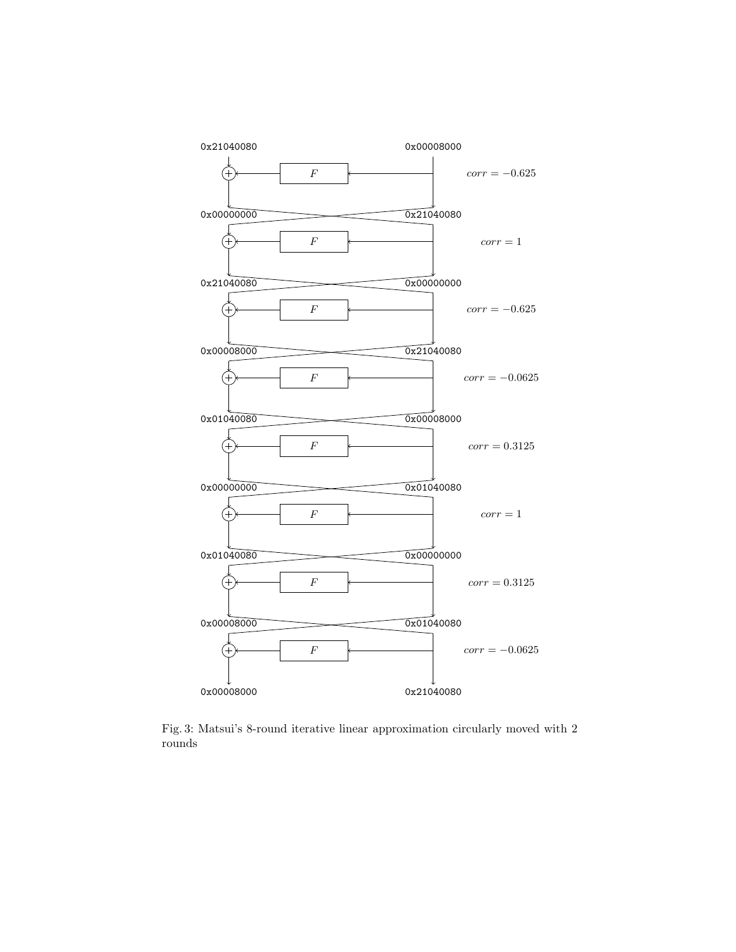<span id="page-10-0"></span>

Fig. 3: Matsui's 8-round iterative linear approximation circularly moved with 2 rounds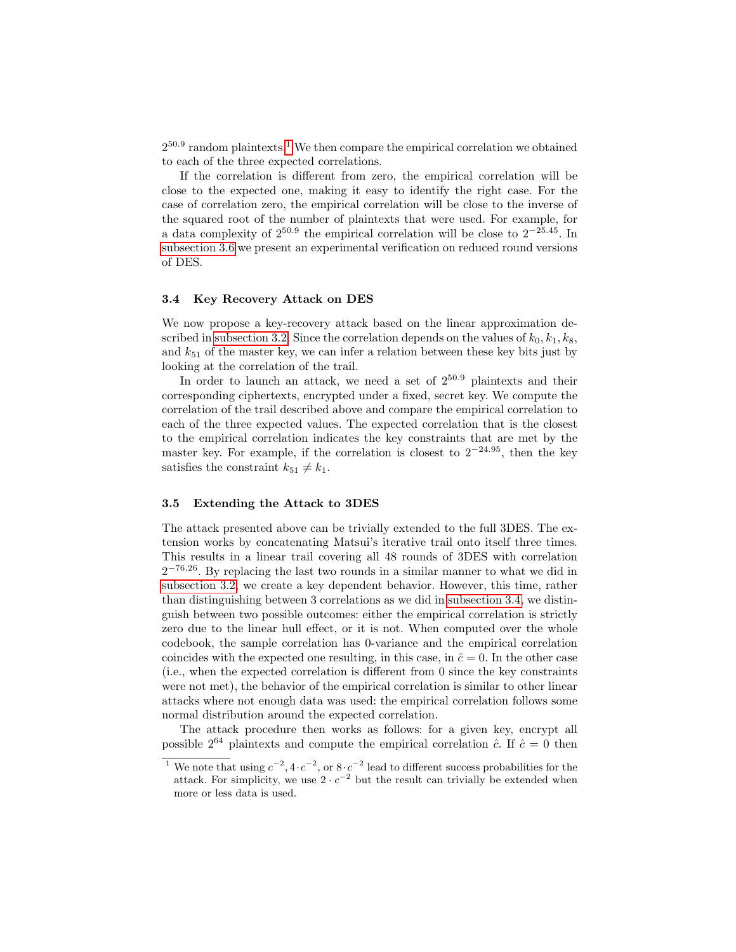$2^{50.9}$  random plaintexts.<sup>[1](#page-11-0)</sup> We then compare the empirical correlation we obtained to each of the three expected correlations.

If the correlation is different from zero, the empirical correlation will be close to the expected one, making it easy to identify the right case. For the case of correlation zero, the empirical correlation will be close to the inverse of the squared root of the number of plaintexts that were used. For example, for a data complexity of  $2^{50.9}$  the empirical correlation will be close to  $2^{-25.45}$ . In [subsection 3.6](#page-12-0) we present an experimental verification on reduced round versions of DES.

### <span id="page-11-1"></span>3.4 Key Recovery Attack on DES

We now propose a key-recovery attack based on the linear approximation described in [subsection 3.2.](#page-9-0) Since the correlation depends on the values of  $k_0, k_1, k_8$ , and  $k_{51}$  of the master key, we can infer a relation between these key bits just by looking at the correlation of the trail.

In order to launch an attack, we need a set of  $2^{50.9}$  plaintexts and their corresponding ciphertexts, encrypted under a fixed, secret key. We compute the correlation of the trail described above and compare the empirical correlation to each of the three expected values. The expected correlation that is the closest to the empirical correlation indicates the key constraints that are met by the master key. For example, if the correlation is closest to  $2^{-24.95}$ , then the key satisfies the constraint  $k_{51} \neq k_1$ .

### 3.5 Extending the Attack to 3DES

The attack presented above can be trivially extended to the full 3DES. The extension works by concatenating Matsui's iterative trail onto itself three times. This results in a linear trail covering all 48 rounds of 3DES with correlation  $2^{-76.26}$ . By replacing the last two rounds in a similar manner to what we did in [subsection 3.2,](#page-9-0) we create a key dependent behavior. However, this time, rather than distinguishing between 3 correlations as we did in [subsection 3.4,](#page-11-1) we distinguish between two possible outcomes: either the empirical correlation is strictly zero due to the linear hull effect, or it is not. When computed over the whole codebook, the sample correlation has 0-variance and the empirical correlation coincides with the expected one resulting, in this case, in  $\hat{c}=0$ . In the other case (i.e., when the expected correlation is different from 0 since the key constraints were not met), the behavior of the empirical correlation is similar to other linear attacks where not enough data was used: the empirical correlation follows some normal distribution around the expected correlation.

The attack procedure then works as follows: for a given key, encrypt all possible  $2^{64}$  plaintexts and compute the empirical correlation  $\hat{c}$ . If  $\hat{c} = 0$  then

<span id="page-11-0"></span><sup>&</sup>lt;sup>1</sup> We note that using  $c^{-2}$ ,  $4 \cdot c^{-2}$ , or  $8 \cdot c^{-2}$  lead to different success probabilities for the attack. For simplicity, we use  $2 \cdot c^{-2}$  but the result can trivially be extended when more or less data is used.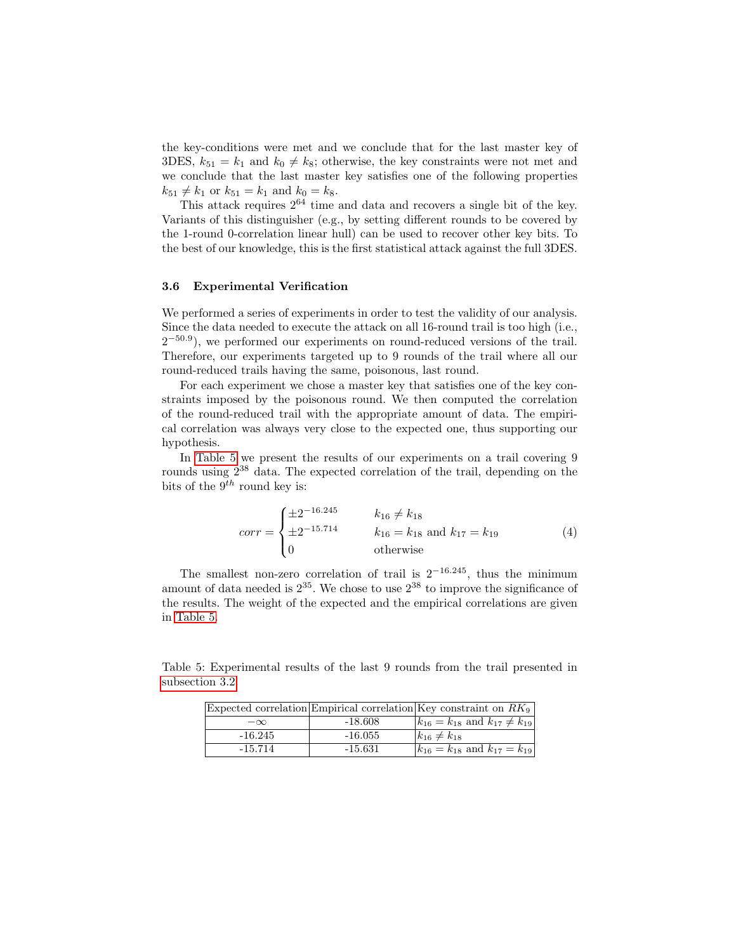the key-conditions were met and we conclude that for the last master key of 3DES,  $k_{51} = k_1$  and  $k_0 \neq k_8$ ; otherwise, the key constraints were not met and we conclude that the last master key satisfies one of the following properties  $k_{51} \neq k_1$  or  $k_{51} = k_1$  and  $k_0 = k_8$ .

This attack requires  $2^{64}$  time and data and recovers a single bit of the key. Variants of this distinguisher (e.g., by setting different rounds to be covered by the 1-round 0-correlation linear hull) can be used to recover other key bits. To the best of our knowledge, this is the first statistical attack against the full 3DES.

### <span id="page-12-0"></span>3.6 Experimental Verification

We performed a series of experiments in order to test the validity of our analysis. Since the data needed to execute the attack on all 16-round trail is too high (i.e.,  $2^{-50.9}$ ), we performed our experiments on round-reduced versions of the trail. Therefore, our experiments targeted up to 9 rounds of the trail where all our round-reduced trails having the same, poisonous, last round.

For each experiment we chose a master key that satisfies one of the key constraints imposed by the poisonous round. We then computed the correlation of the round-reduced trail with the appropriate amount of data. The empirical correlation was always very close to the expected one, thus supporting our hypothesis.

In [Table 5](#page-12-1) we present the results of our experiments on a trail covering 9 rounds using 2<sup>38</sup> data. The expected correlation of the trail, depending on the bits of the  $9^{th}$  round key is:

$$
corr = \begin{cases} \pm 2^{-16.245} & k_{16} \neq k_{18} \\ \pm 2^{-15.714} & k_{16} = k_{18} \text{ and } k_{17} = k_{19} \\ 0 & \text{otherwise} \end{cases}
$$
 (4)

The smallest non-zero correlation of trail is  $2^{-16.245}$ , thus the minimum amount of data needed is  $2^{35}$ . We chose to use  $2^{38}$  to improve the significance of the results. The weight of the expected and the empirical correlations are given in [Table 5.](#page-12-1)

<span id="page-12-1"></span>Table 5: Experimental results of the last 9 rounds from the trail presented in [subsection 3.2](#page-9-0)

|           |           | Expected correlation Empirical correlation Key constraint on $RK_9$ |
|-----------|-----------|---------------------------------------------------------------------|
| $-\infty$ | $-18.608$ | $ k_{16} = k_{18}$ and $k_{17} \neq k_{19}$                         |
| $-16.245$ | $-16.055$ | $k_{16} \neq k_{18}$                                                |
| $-15.714$ | $-15.631$ | $ k_{16} = k_{18}$ and $k_{17} = k_{19} $                           |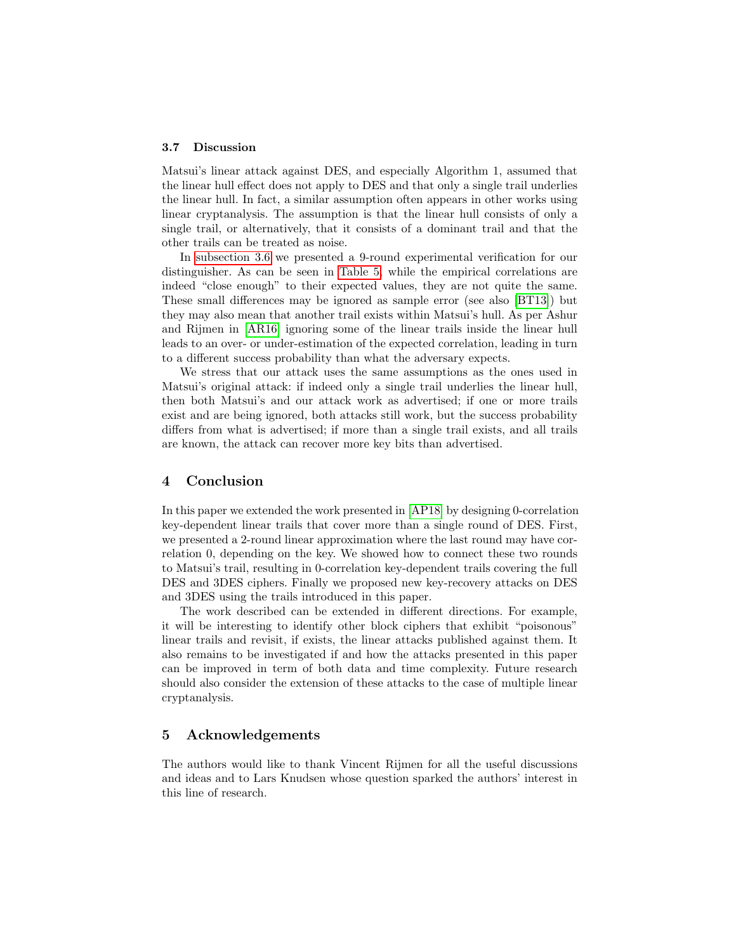#### 3.7 Discussion

Matsui's linear attack against DES, and especially Algorithm 1, assumed that the linear hull effect does not apply to DES and that only a single trail underlies the linear hull. In fact, a similar assumption often appears in other works using linear cryptanalysis. The assumption is that the linear hull consists of only a single trail, or alternatively, that it consists of a dominant trail and that the other trails can be treated as noise.

In [subsection 3.6](#page-12-0) we presented a 9-round experimental verification for our distinguisher. As can be seen in [Table 5,](#page-12-1) while the empirical correlations are indeed "close enough" to their expected values, they are not quite the same. These small differences may be ignored as sample error (see also [\[BT13\]](#page-14-12)) but they may also mean that another trail exists within Matsui's hull. As per Ashur and Rijmen in [\[AR16\]](#page-14-6) ignoring some of the linear trails inside the linear hull leads to an over- or under-estimation of the expected correlation, leading in turn to a different success probability than what the adversary expects.

We stress that our attack uses the same assumptions as the ones used in Matsui's original attack: if indeed only a single trail underlies the linear hull, then both Matsui's and our attack work as advertised; if one or more trails exist and are being ignored, both attacks still work, but the success probability differs from what is advertised; if more than a single trail exists, and all trails are known, the attack can recover more key bits than advertised.

# <span id="page-13-0"></span>4 Conclusion

In this paper we extended the work presented in [\[AP18\]](#page-14-7) by designing 0-correlation key-dependent linear trails that cover more than a single round of DES. First, we presented a 2-round linear approximation where the last round may have correlation 0, depending on the key. We showed how to connect these two rounds to Matsui's trail, resulting in 0-correlation key-dependent trails covering the full DES and 3DES ciphers. Finally we proposed new key-recovery attacks on DES and 3DES using the trails introduced in this paper.

The work described can be extended in different directions. For example, it will be interesting to identify other block ciphers that exhibit "poisonous" linear trails and revisit, if exists, the linear attacks published against them. It also remains to be investigated if and how the attacks presented in this paper can be improved in term of both data and time complexity. Future research should also consider the extension of these attacks to the case of multiple linear cryptanalysis.

# 5 Acknowledgements

The authors would like to thank Vincent Rijmen for all the useful discussions and ideas and to Lars Knudsen whose question sparked the authors' interest in this line of research.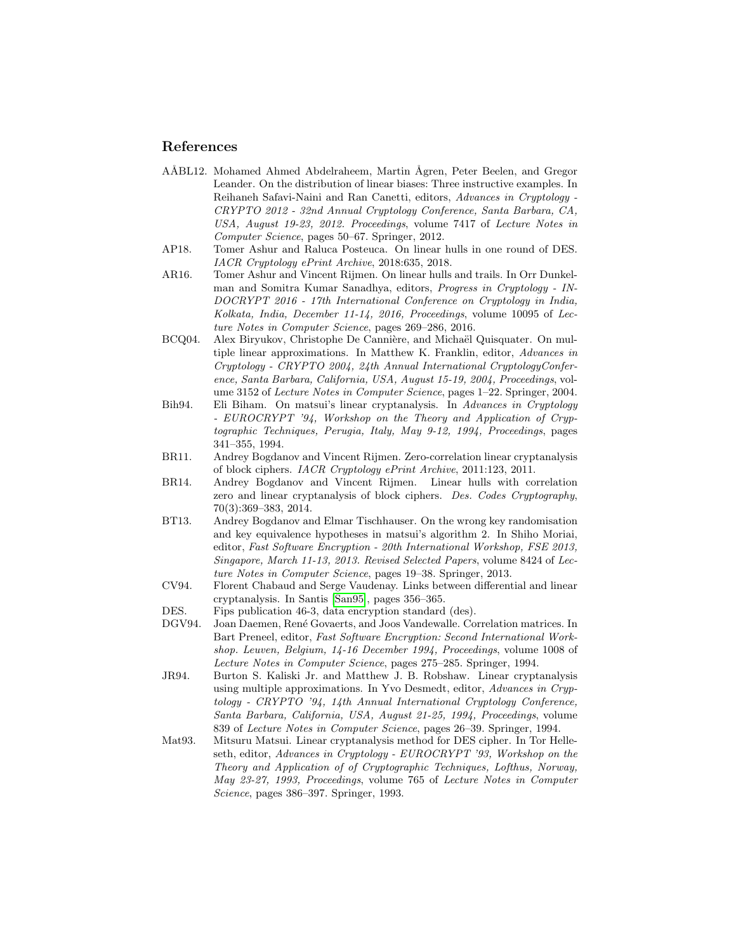# References

- <span id="page-14-8"></span>AÅBL12. Mohamed Ahmed Abdelraheem, Martin Ågren, Peter Beelen, and Gregor Leander. On the distribution of linear biases: Three instructive examples. In Reihaneh Safavi-Naini and Ran Canetti, editors, Advances in Cryptology - CRYPTO 2012 - 32nd Annual Cryptology Conference, Santa Barbara, CA, USA, August 19-23, 2012. Proceedings, volume 7417 of Lecture Notes in Computer Science, pages 50–67. Springer, 2012.
- <span id="page-14-7"></span>AP18. Tomer Ashur and Raluca Posteuca. On linear hulls in one round of DES. IACR Cryptology ePrint Archive, 2018:635, 2018.
- <span id="page-14-6"></span>AR16. Tomer Ashur and Vincent Rijmen. On linear hulls and trails. In Orr Dunkelman and Somitra Kumar Sanadhya, editors, Progress in Cryptology - IN-DOCRYPT 2016 - 17th International Conference on Cryptology in India, Kolkata, India, December 11-14, 2016, Proceedings, volume 10095 of Lecture Notes in Computer Science, pages 269–286, 2016.
- <span id="page-14-2"></span>BCQ04. Alex Biryukov, Christophe De Cannière, and Michaël Quisquater. On multiple linear approximations. In Matthew K. Franklin, editor, Advances in Cryptology - CRYPTO 2004, 24th Annual International CryptologyConference, Santa Barbara, California, USA, August 15-19, 2004, Proceedings, volume 3152 of Lecture Notes in Computer Science, pages 1–22. Springer, 2004.
- <span id="page-14-0"></span>Bih94. Eli Biham. On matsui's linear cryptanalysis. In Advances in Cryptology - EUROCRYPT '94, Workshop on the Theory and Application of Cryptographic Techniques, Perugia, Italy, May 9-12, 1994, Proceedings, pages 341–355, 1994.
- <span id="page-14-4"></span>BR11. Andrey Bogdanov and Vincent Rijmen. Zero-correlation linear cryptanalysis of block ciphers. IACR Cryptology ePrint Archive, 2011:123, 2011.
- <span id="page-14-5"></span>BR14. Andrey Bogdanov and Vincent Rijmen. Linear hulls with correlation zero and linear cryptanalysis of block ciphers. Des. Codes Cryptography, 70(3):369–383, 2014.
- <span id="page-14-12"></span>BT13. Andrey Bogdanov and Elmar Tischhauser. On the wrong key randomisation and key equivalence hypotheses in matsui's algorithm 2. In Shiho Moriai, editor, Fast Software Encryption - 20th International Workshop, FSE 2013, Singapore, March 11-13, 2013. Revised Selected Papers, volume 8424 of Lecture Notes in Computer Science, pages 19–38. Springer, 2013.
- <span id="page-14-3"></span>CV94. Florent Chabaud and Serge Vaudenay. Links between differential and linear cryptanalysis. In Santis [\[San95\]](#page-15-1), pages 356–365.
- <span id="page-14-10"></span><span id="page-14-9"></span>DES. Fips publication 46-3, data encryption standard (des).
- DGV94. Joan Daemen, Ren´e Govaerts, and Joos Vandewalle. Correlation matrices. In Bart Preneel, editor, Fast Software Encryption: Second International Workshop. Leuven, Belgium, 14-16 December 1994, Proceedings, volume 1008 of Lecture Notes in Computer Science, pages 275–285. Springer, 1994.
- <span id="page-14-1"></span>JR94. Burton S. Kaliski Jr. and Matthew J. B. Robshaw. Linear cryptanalysis using multiple approximations. In Yvo Desmedt, editor, Advances in Cryptology - CRYPTO '94, 14th Annual International Cryptology Conference, Santa Barbara, California, USA, August 21-25, 1994, Proceedings, volume 839 of Lecture Notes in Computer Science, pages 26–39. Springer, 1994.
- <span id="page-14-11"></span>Mat93. Mitsuru Matsui. Linear cryptanalysis method for DES cipher. In Tor Helleseth, editor, Advances in Cryptology - EUROCRYPT '93, Workshop on the Theory and Application of of Cryptographic Techniques, Lofthus, Norway, May 23-27, 1993, Proceedings, volume 765 of Lecture Notes in Computer Science, pages 386–397. Springer, 1993.